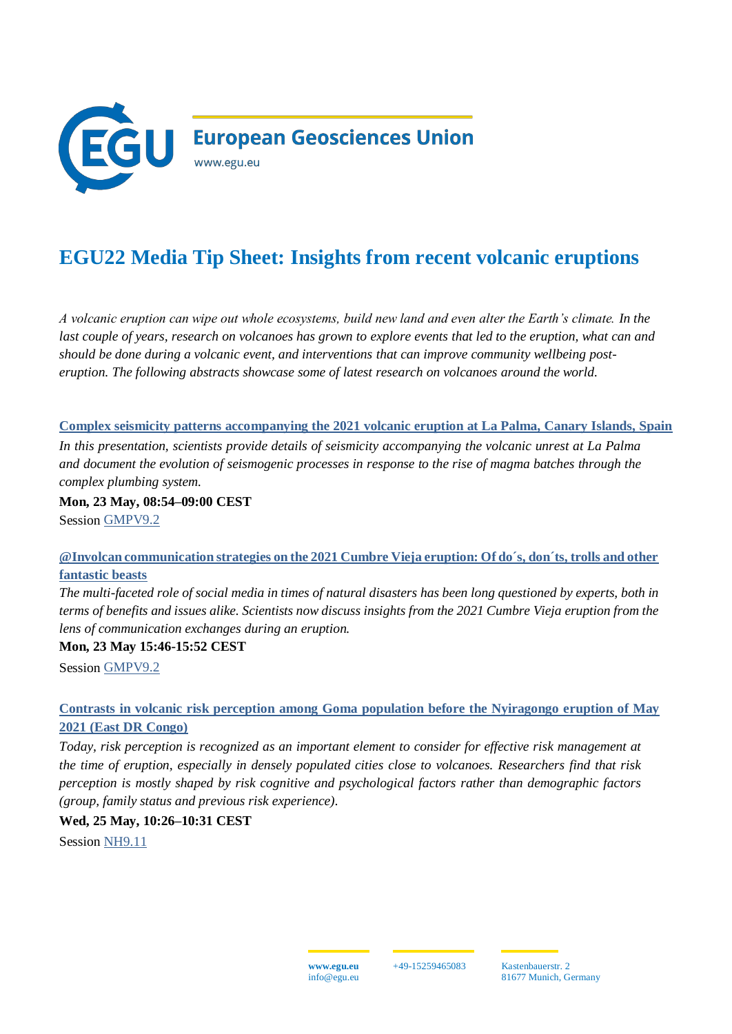

# **EGU22 Media Tip Sheet: Insights from recent volcanic eruptions**

*A volcanic eruption can wipe out whole ecosystems, build new land and even alter the Earth's climate. In the last couple of years, research on volcanoes has grown to explore events that led to the eruption, what can and should be done during a volcanic event, and interventions that can improve community wellbeing posteruption. The following abstracts showcase some of latest research on volcanoes around the world.*

#### **[Complex seismicity patterns accompanying the 2021 volcanic eruption at La Palma, Canary Islands, Spain](https://meetingorganizer.copernicus.org/EGU22/EGU22-9449.html)**

*In this presentation, scientists provide details of seismicity accompanying the volcanic unrest at La Palma and document the evolution of seismogenic processes in response to the rise of magma batches through the complex plumbing system.* 

**Mon, 23 May, 08:54–09:00 CEST** Session [GMPV9.2](https://meetingorganizer.copernicus.org/EGU22/session/43414)

### **[@Involcan communication strategies on the 2021 Cumbre Vieja eruption: Of do´s, don´ts, trolls and other](https://meetingorganizer.copernicus.org/EGU22/EGU22-7722.html)  [fantastic beasts](https://meetingorganizer.copernicus.org/EGU22/EGU22-7722.html)**

*The multi-faceted role of social media in times of natural disasters has been long questioned by experts, both in terms of benefits and issues alike. Scientists now discuss insights from the 2021 Cumbre Vieja eruption from the lens of communication exchanges during an eruption.*

#### **Mon, 23 May 15:46-15:52 CEST**

Session [GMPV9.2](https://meetingorganizer.copernicus.org/EGU22/session/43414)

## **[Contrasts in volcanic risk perception among Goma population before the Nyiragongo eruption of May](https://meetingorganizer.copernicus.org/EGU22/EGU22-445.html)  [2021 \(East DR Congo\)](https://meetingorganizer.copernicus.org/EGU22/EGU22-445.html)**

*Today, risk perception is recognized as an important element to consider for effective risk management at the time of eruption, especially in densely populated cities close to volcanoes. Researchers find that risk perception is mostly shaped by risk cognitive and psychological factors rather than demographic factors (group, family status and previous risk experience).*

#### **Wed, 25 May, 10:26–10:31 CEST**

Session [NH9.11](https://meetingorganizer.copernicus.org/EGU22/session/43803)

+49-15259465083 Kastenbauerstr. 2 81677 Munich, Germany